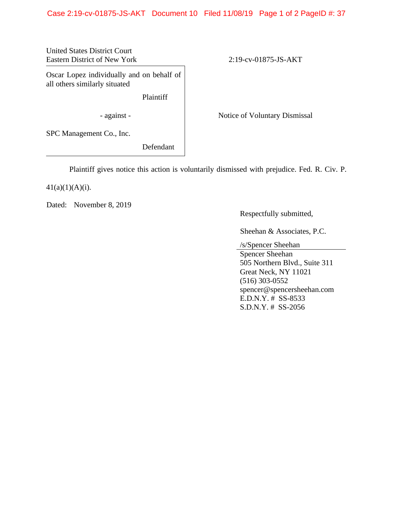## Case 2:19-cv-01875-JS-AKT Document 10 Filed 11/08/19 Page 1 of 2 PageID #: 37

United States District Court Eastern District of New York 2:19-cv-01875-JS-AKT

Oscar Lopez individually and on behalf of all others similarly situated

Plaintiff

- against - Notice of Voluntary Dismissal

SPC Management Co., Inc.

Defendant

Plaintiff gives notice this action is voluntarily dismissed with prejudice. Fed. R. Civ. P.

 $41(a)(1)(A)(i)$ .

Dated: November 8, 2019

Respectfully submitted,

Sheehan & Associates, P.C.

/s/Spencer Sheehan

Spencer Sheehan 505 Northern Blvd., Suite 311 Great Neck, NY 11021 (516) 303-0552 spencer@spencersheehan.com E.D.N.Y. # SS-8533 S.D.N.Y. # SS-2056